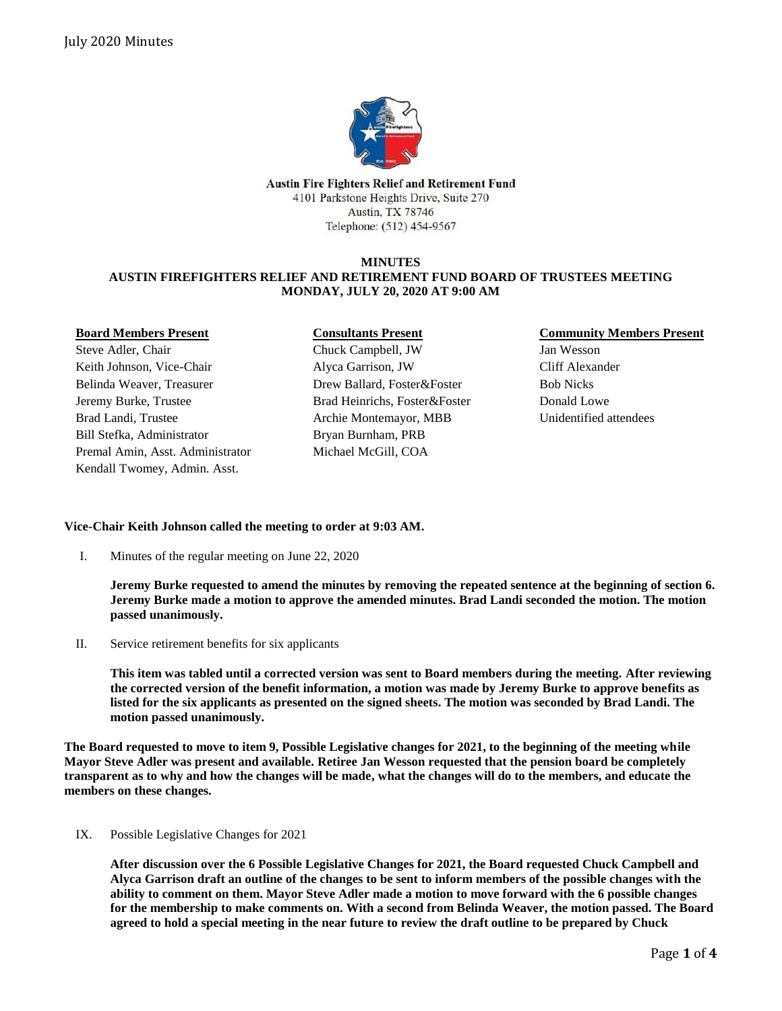

Austin Fire Fighters Relief and Retirement Fund 4101 Parkstone Heights Drive, Suite 270 Austin, TX 78746 Telephone: (512) 454-9567

#### **MINUTES AUSTIN FIREFIGHTERS RELIEF AND RETIREMENT FUND BOARD OF TRUSTEES MEETING MONDAY, JULY 20, 2020 AT 9:00 AM**

# **Board Members Present**

Steve Adler, Chair Keith Johnson, Vice-Chair Belinda Weaver, Treasurer Jeremy Burke, Trustee Brad Landi, Trustee Bill Stefka, Administrator Premal Amin, Asst. Administrator Kendall Twomey, Admin. Asst.

## **Consultants Present**

Chuck Campbell, JW Alyca Garrison, JW Drew Ballard, Foster&Foster Brad Heinrichs, Foster&Foster Archie Montemayor, MBB Bryan Burnham, PRB Michael McGill, COA

### **Community Members Present**

Jan Wesson Cliff Alexander Bob Nicks Donald Lowe Unidentified attendees

#### **Vice-Chair Keith Johnson called the meeting to order at 9:03 AM.**

I. Minutes of the regular meeting on June 22, 2020

**Jeremy Burke requested to amend the minutes by removing the repeated sentence at the beginning of section 6. Jeremy Burke made a motion to approve the amended minutes. Brad Landi seconded the motion. The motion passed unanimously.**

II. Service retirement benefits for six applicants

**This item was tabled until a corrected version was sent to Board members during the meeting. After reviewing the corrected version of the benefit information, a motion was made by Jeremy Burke to approve benefits as listed for the six applicants as presented on the signed sheets. The motion was seconded by Brad Landi. The motion passed unanimously.**

**The Board requested to move to item 9, Possible Legislative changes for 2021, to the beginning of the meeting while Mayor Steve Adler was present and available. Retiree Jan Wesson requested that the pension board be completely transparent as to why and how the changes will be made, what the changes will do to the members, and educate the members on these changes.**

#### Possible Legislative Changes for 2021 IX.

**After discussion over the 6 Possible Legislative Changes for 2021, the Board requested Chuck Campbell and Alyca Garrison draft an outline of the changes to be sent to inform members of the possible changes with the ability to comment on them. Mayor Steve Adler made a motion to move forward with the 6 possible changes for the membership to make comments on. With a second from Belinda Weaver, the motion passed. The Board agreed to hold a special meeting in the near future to review the draft outline to be prepared by Chuck**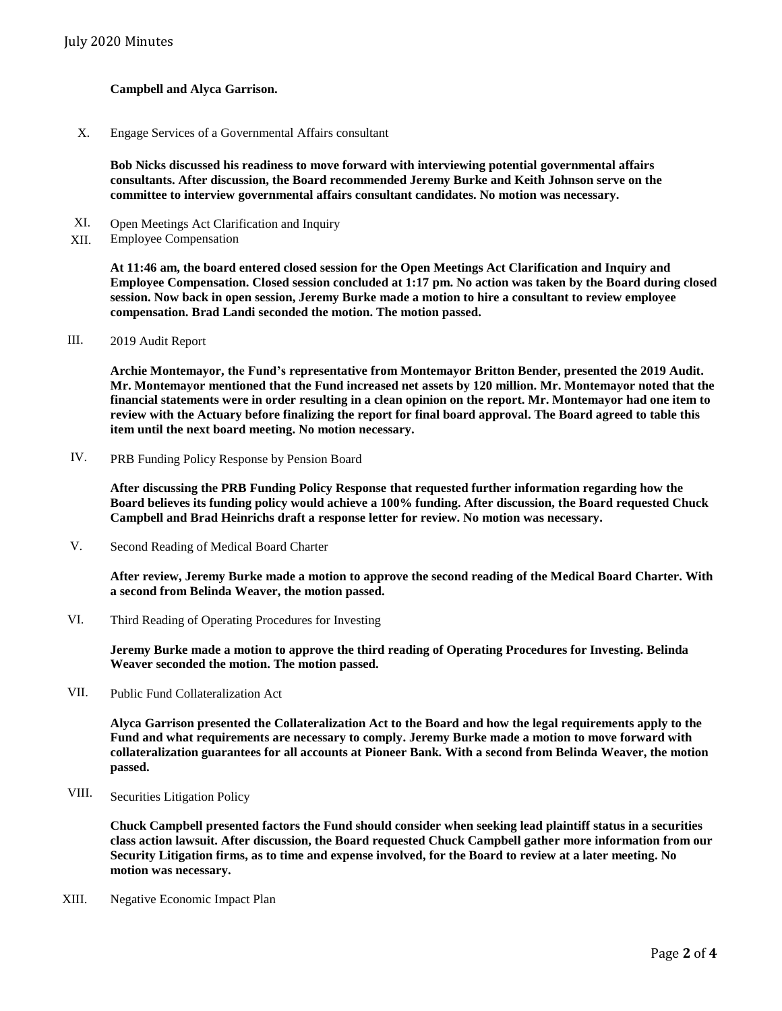#### **Campbell and Alyca Garrison.**

Engage Services of a Governmental Affairs consultant X.

> **Bob Nicks discussed his readiness to move forward with interviewing potential governmental affairs consultants. After discussion, the Board recommended Jeremy Burke and Keith Johnson serve on the committee to interview governmental affairs consultant candidates. No motion was necessary.**

- Open Meetings Act Clarification and Inquiry XI.
- **Employee Compensation** XII.

**At 11:46 am, the board entered closed session for the Open Meetings Act Clarification and Inquiry and Employee Compensation. Closed session concluded at 1:17 pm. No action was taken by the Board during closed session. Now back in open session, Jeremy Burke made a motion to hire a consultant to review employee compensation. Brad Landi seconded the motion. The motion passed.**

2019 Audit Report III.

> **Archie Montemayor, the Fund's representative from Montemayor Britton Bender, presented the 2019 Audit. Mr. Montemayor mentioned that the Fund increased net assets by 120 million. Mr. Montemayor noted that the financial statements were in order resulting in a clean opinion on the report. Mr. Montemayor had one item to review with the Actuary before finalizing the report for final board approval. The Board agreed to table this item until the next board meeting. No motion necessary.**

PRB Funding Policy Response by Pension Board IV.

> **After discussing the PRB Funding Policy Response that requested further information regarding how the Board believes its funding policy would achieve a 100% funding. After discussion, the Board requested Chuck Campbell and Brad Heinrichs draft a response letter for review. No motion was necessary.**

Second Reading of Medical Board Charter V.

> **After review, Jeremy Burke made a motion to approve the second reading of the Medical Board Charter. With a second from Belinda Weaver, the motion passed.**

Third Reading of Operating Procedures for Investing VI.

> **Jeremy Burke made a motion to approve the third reading of Operating Procedures for Investing. Belinda Weaver seconded the motion. The motion passed.**

Public Fund Collateralization Act VII.

> **Alyca Garrison presented the Collateralization Act to the Board and how the legal requirements apply to the Fund and what requirements are necessary to comply. Jeremy Burke made a motion to move forward with collateralization guarantees for all accounts at Pioneer Bank. With a second from Belinda Weaver, the motion passed.**

Securities Litigation Policy VIII.

> **Chuck Campbell presented factors the Fund should consider when seeking lead plaintiff status in a securities class action lawsuit. After discussion, the Board requested Chuck Campbell gather more information from our Security Litigation firms, as to time and expense involved, for the Board to review at a later meeting. No motion was necessary.**

XIII. Negative Economic Impact Plan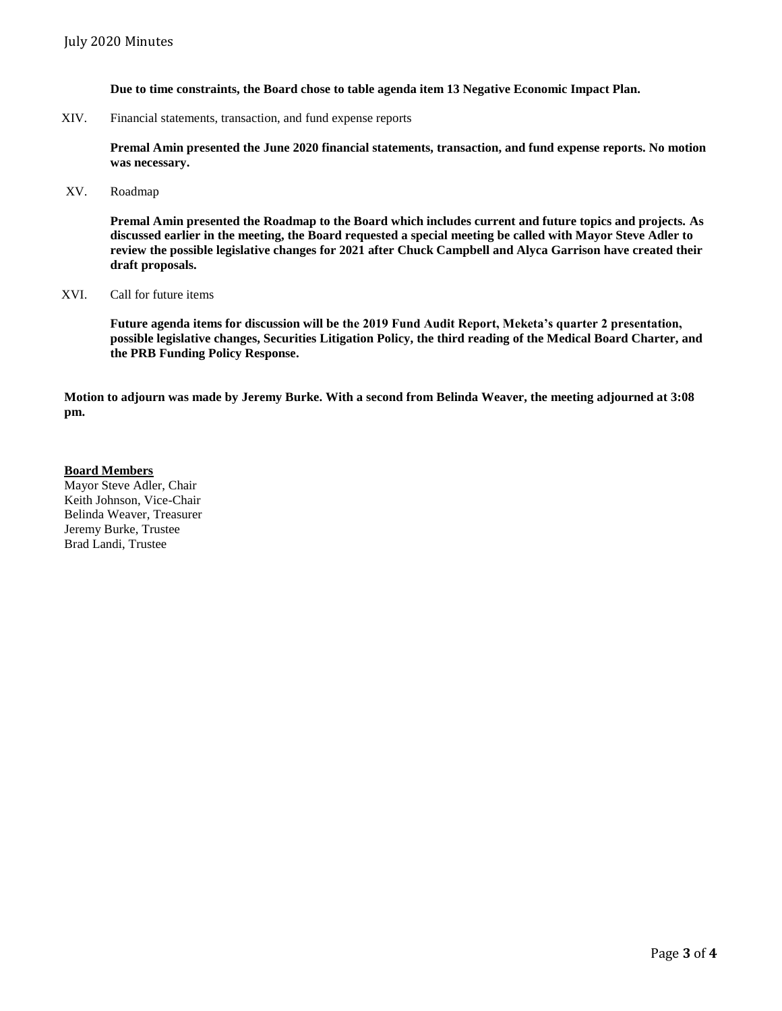**Due to time constraints, the Board chose to table agenda item 13 Negative Economic Impact Plan.**

XIV. Financial statements, transaction, and fund expense reports

**Premal Amin presented the June 2020 financial statements, transaction, and fund expense reports. No motion was necessary.**

XV. Roadmap

**Premal Amin presented the Roadmap to the Board which includes current and future topics and projects. As discussed earlier in the meeting, the Board requested a special meeting be called with Mayor Steve Adler to review the possible legislative changes for 2021 after Chuck Campbell and Alyca Garrison have created their draft proposals.**

XVI. Call for future items

**Future agenda items for discussion will be the 2019 Fund Audit Report, Meketa's quarter 2 presentation, possible legislative changes, Securities Litigation Policy, the third reading of the Medical Board Charter, and the PRB Funding Policy Response.**

**Motion to adjourn was made by Jeremy Burke. With a second from Belinda Weaver, the meeting adjourned at 3:08 pm.** 

# **Board Members** Mayor Steve Adler, Chair Keith Johnson, Vice-Chair

Belinda Weaver, Treasurer Jeremy Burke, Trustee Brad Landi, Trustee